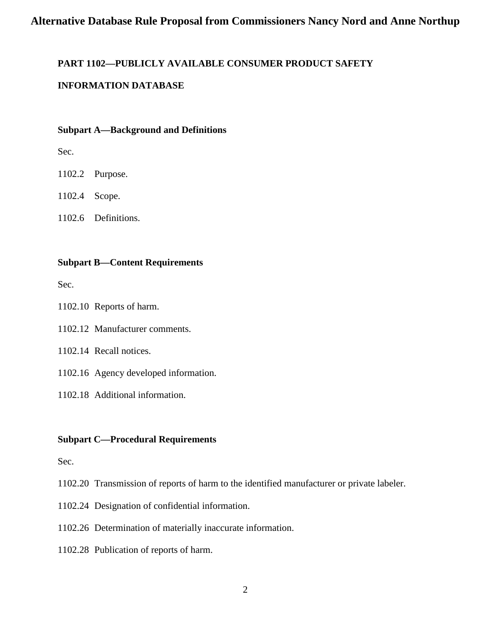# **PART 1102—PUBLICLY AVAILABLE CONSUMER PRODUCT SAFETY**

## **INFORMATION DATABASE**

### **Subpart A—Background and Definitions**

Sec.

1102.2 Purpose.

1102.4 Scope.

1102.6 Definitions.

### **Subpart B—Content Requirements**

Sec.

1102.10 Reports of harm.

1102.12 Manufacturer comments.

1102.14 Recall notices.

1102.16 Agency developed information.

1102.18 Additional information.

## **Subpart C—Procedural Requirements**

Sec.

1102.20 Transmission of reports of harm to the identified manufacturer or private labeler.

1102.24 Designation of confidential information.

1102.26 Determination of materially inaccurate information.

1102.28 Publication of reports of harm.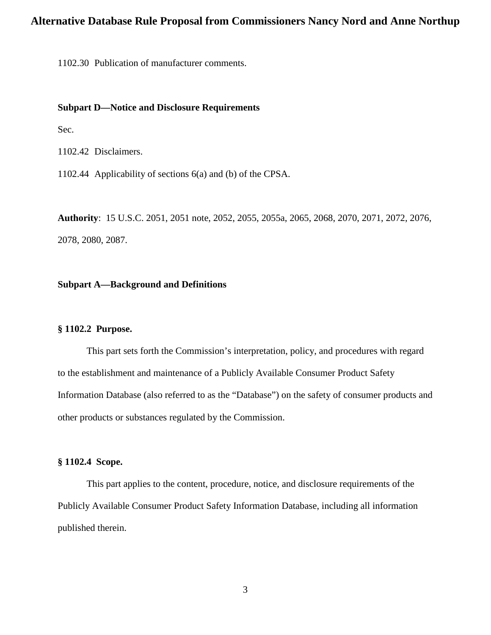1102.30 Publication of manufacturer comments.

### **Subpart D—Notice and Disclosure Requirements**

Sec.

1102.42 Disclaimers.

1102.44 Applicability of sections 6(a) and (b) of the CPSA.

**Authority**: 15 U.S.C. 2051, 2051 note, 2052, 2055, 2055a, 2065, 2068, 2070, 2071, 2072, 2076, 2078, 2080, 2087.

### **Subpart A—Background and Definitions**

### **§ 1102.2 Purpose.**

This part sets forth the Commission's interpretation, policy, and procedures with regard to the establishment and maintenance of a Publicly Available Consumer Product Safety Information Database (also referred to as the "Database") on the safety of consumer products and other products or substances regulated by the Commission.

### **§ 1102.4 Scope.**

This part applies to the content, procedure, notice, and disclosure requirements of the Publicly Available Consumer Product Safety Information Database, including all information published therein.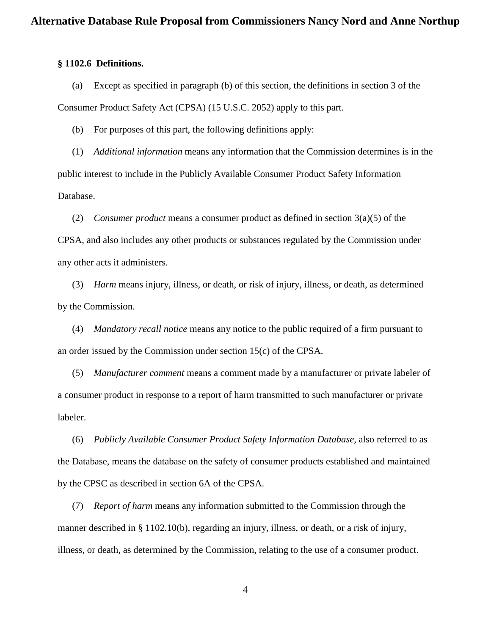### **§ 1102.6 Definitions.**

(a) Except as specified in paragraph (b) of this section, the definitions in section 3 of the Consumer Product Safety Act (CPSA) (15 U.S.C. 2052) apply to this part.

(b) For purposes of this part, the following definitions apply:

(1) *Additional information* means any information that the Commission determines is in the public interest to include in the Publicly Available Consumer Product Safety Information Database.

(2) *Consumer product* means a consumer product as defined in section 3(a)(5) of the CPSA, and also includes any other products or substances regulated by the Commission under any other acts it administers.

(3) *Harm* means injury*,* illness, or death, or risk of injury, illness, or death, as determined by the Commission.

(4) *Mandatory recall notice* means any notice to the public required of a firm pursuant to an order issued by the Commission under section 15(c) of the CPSA.

(5) *Manufacturer comment* means a comment made by a manufacturer or private labeler of a consumer product in response to a report of harm transmitted to such manufacturer or private labeler.

(6) *Publicly Available Consumer Product Safety Information Database,* also referred to as the Database, means the database on the safety of consumer products established and maintained by the CPSC as described in section 6A of the CPSA.

(7) *Report of harm* means any information submitted to the Commission through the manner described in § 1102.10(b), regarding an injury, illness, or death, or a risk of injury, illness, or death, as determined by the Commission, relating to the use of a consumer product.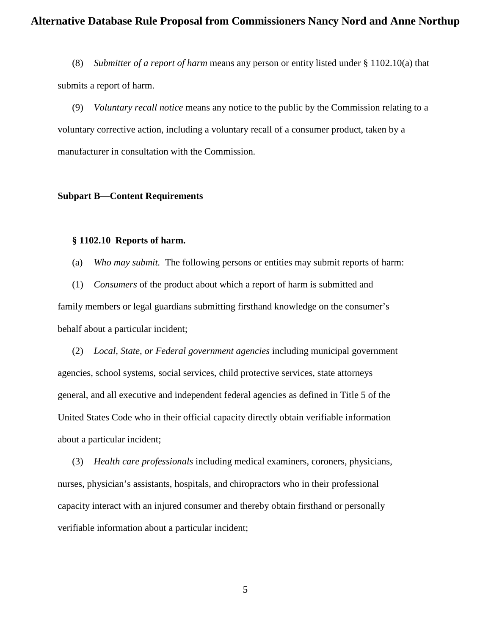(8) *Submitter of a report of harm* means any person or entity listed under § 1102.10(a) that submits a report of harm.

(9) *Voluntary recall notice* means any notice to the public by the Commission relating to a voluntary corrective action, including a voluntary recall of a consumer product, taken by a manufacturer in consultation with the Commission.

### **Subpart B—Content Requirements**

### **§ 1102.10 Reports of harm.**

(a) *Who may submit.* The following persons or entities may submit reports of harm:

(1) *Consumers* of the product about which a report of harm is submitted and family members or legal guardians submitting firsthand knowledge on the consumer's behalf about a particular incident;

(2) *Local, State, or Federal government agencies* including municipal government agencies, school systems, social services, child protective services, state attorneys general, and all executive and independent federal agencies as defined in Title 5 of the United States Code who in their official capacity directly obtain verifiable information about a particular incident;

(3) *Health care professionals* including medical examiners, coroners, physicians, nurses, physician's assistants, hospitals, and chiropractors who in their professional capacity interact with an injured consumer and thereby obtain firsthand or personally verifiable information about a particular incident;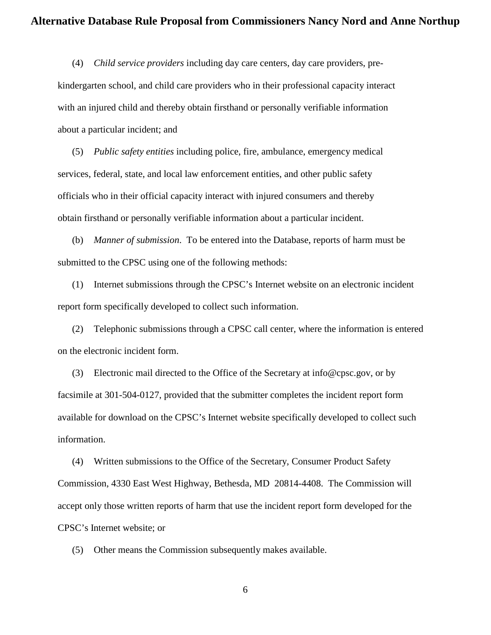(4) *Child service providers* including day care centers, day care providers, prekindergarten school, and child care providers who in their professional capacity interact with an injured child and thereby obtain firsthand or personally verifiable information about a particular incident; and

(5) *Public safety entities* including police, fire, ambulance, emergency medical services, federal, state, and local law enforcement entities, and other public safety officials who in their official capacity interact with injured consumers and thereby obtain firsthand or personally verifiable information about a particular incident.

(b) *Manner of submission*. To be entered into the Database, reports of harm must be submitted to the CPSC using one of the following methods:

(1) Internet submissions through the CPSC's Internet website on an electronic incident report form specifically developed to collect such information.

(2) Telephonic submissions through a CPSC call center, where the information is entered on the electronic incident form.

(3) Electronic mail directed to the Office of the Secretary at info@cpsc.gov, or by facsimile at 301-504-0127, provided that the submitter completes the incident report form available for download on the CPSC's Internet website specifically developed to collect such information.

(4) Written submissions to the Office of the Secretary, Consumer Product Safety Commission, 4330 East West Highway, Bethesda, MD 20814-4408. The Commission will accept only those written reports of harm that use the incident report form developed for the CPSC's Internet website; or

(5) Other means the Commission subsequently makes available.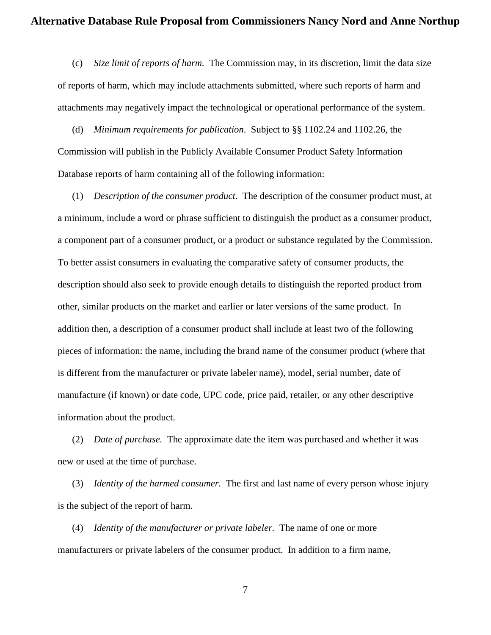(c) *Size limit of reports of harm.* The Commission may, in its discretion, limit the data size of reports of harm, which may include attachments submitted, where such reports of harm and attachments may negatively impact the technological or operational performance of the system.

(d) *Minimum requirements for publication*. Subject to §§ 1102.24 and 1102.26, the Commission will publish in the Publicly Available Consumer Product Safety Information Database reports of harm containing all of the following information:

(1) *Description of the consumer product*. The description of the consumer product must, at a minimum, include a word or phrase sufficient to distinguish the product as a consumer product, a component part of a consumer product, or a product or substance regulated by the Commission. To better assist consumers in evaluating the comparative safety of consumer products, the description should also seek to provide enough details to distinguish the reported product from other, similar products on the market and earlier or later versions of the same product. In addition then, a description of a consumer product shall include at least two of the following pieces of information: the name, including the brand name of the consumer product (where that is different from the manufacturer or private labeler name), model, serial number, date of manufacture (if known) or date code, UPC code, price paid, retailer, or any other descriptive information about the product.

(2) *Date of purchase.* The approximate date the item was purchased and whether it was new or used at the time of purchase.

(3) *Identity of the harmed consumer.* The first and last name of every person whose injury is the subject of the report of harm.

(4) *Identity of the manufacturer or private labeler.* The name of one or more manufacturers or private labelers of the consumer product. In addition to a firm name,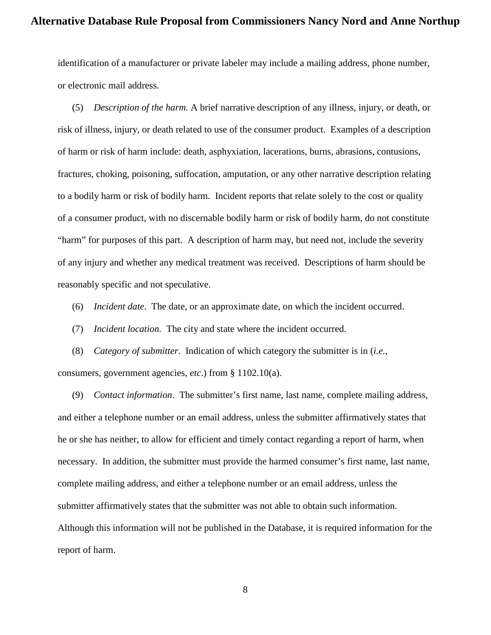identification of a manufacturer or private labeler may include a mailing address, phone number, or electronic mail address.

(5) *Description of the harm.* A brief narrative description of any illness, injury, or death, or risk of illness, injury, or death related to use of the consumer product. Examples of a description of harm or risk of harm include: death, asphyxiation, lacerations, burns, abrasions, contusions, fractures, choking, poisoning, suffocation, amputation, or any other narrative description relating to a bodily harm or risk of bodily harm. Incident reports that relate solely to the cost or quality of a consumer product, with no discernable bodily harm or risk of bodily harm, do not constitute "harm" for purposes of this part. A description of harm may, but need not, include the severity of any injury and whether any medical treatment was received. Descriptions of harm should be reasonably specific and not speculative.

(6) *Incident date*. The date, or an approximate date, on which the incident occurred.

(7) *Incident location.* The city and state where the incident occurred.

(8) *Category of submitter*. Indication of which category the submitter is in (*i.e.*, consumers, government agencies, *etc*.) from § 1102.10(a).

(9) *Contact information*. The submitter's first name, last name, complete mailing address, and either a telephone number or an email address, unless the submitter affirmatively states that he or she has neither, to allow for efficient and timely contact regarding a report of harm, when necessary. In addition, the submitter must provide the harmed consumer's first name, last name, complete mailing address, and either a telephone number or an email address, unless the submitter affirmatively states that the submitter was not able to obtain such information. Although this information will not be published in the Database, it is required information for the report of harm.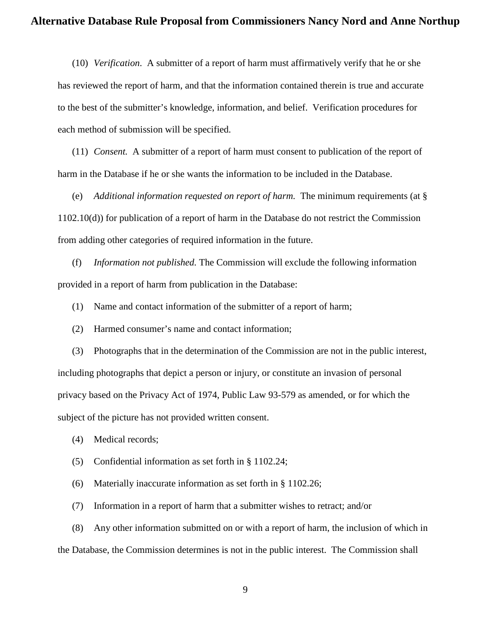(10) *Verification*. A submitter of a report of harm must affirmatively verify that he or she has reviewed the report of harm, and that the information contained therein is true and accurate to the best of the submitter's knowledge, information, and belief. Verification procedures for each method of submission will be specified.

(11) *Consent.* A submitter of a report of harm must consent to publication of the report of harm in the Database if he or she wants the information to be included in the Database.

(e) *Additional information requested on report of harm.* The minimum requirements (at § 1102.10(d)) for publication of a report of harm in the Database do not restrict the Commission from adding other categories of required information in the future.

(f) *Information not published.* The Commission will exclude the following information provided in a report of harm from publication in the Database:

(1) Name and contact information of the submitter of a report of harm;

(2) Harmed consumer's name and contact information;

(3) Photographs that in the determination of the Commission are not in the public interest, including photographs that depict a person or injury, or constitute an invasion of personal privacy based on the Privacy Act of 1974, Public Law 93-579 as amended, or for which the subject of the picture has not provided written consent.

(4) Medical records;

(5) Confidential information as set forth in § 1102.24;

(6) Materially inaccurate information as set forth in § 1102.26;

(7) Information in a report of harm that a submitter wishes to retract; and/or

(8) Any other information submitted on or with a report of harm, the inclusion of which in the Database, the Commission determines is not in the public interest. The Commission shall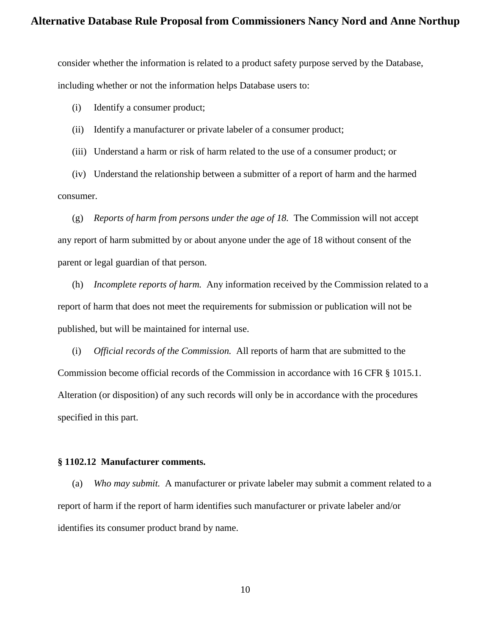consider whether the information is related to a product safety purpose served by the Database, including whether or not the information helps Database users to:

(i) Identify a consumer product;

(ii) Identify a manufacturer or private labeler of a consumer product;

(iii) Understand a harm or risk of harm related to the use of a consumer product; or

(iv) Understand the relationship between a submitter of a report of harm and the harmed consumer.

(g) *Reports of harm from persons under the age of 18.* The Commission will not accept any report of harm submitted by or about anyone under the age of 18 without consent of the parent or legal guardian of that person.

(h) *Incomplete reports of harm.* Any information received by the Commission related to a report of harm that does not meet the requirements for submission or publication will not be published, but will be maintained for internal use.

(i) *Official records of the Commission.* All reports of harm that are submitted to the Commission become official records of the Commission in accordance with 16 CFR § 1015.1. Alteration (or disposition) of any such records will only be in accordance with the procedures specified in this part.

### **§ 1102.12 Manufacturer comments.**

(a) *Who may submit.* A manufacturer or private labeler may submit a comment related to a report of harm if the report of harm identifies such manufacturer or private labeler and/or identifies its consumer product brand by name.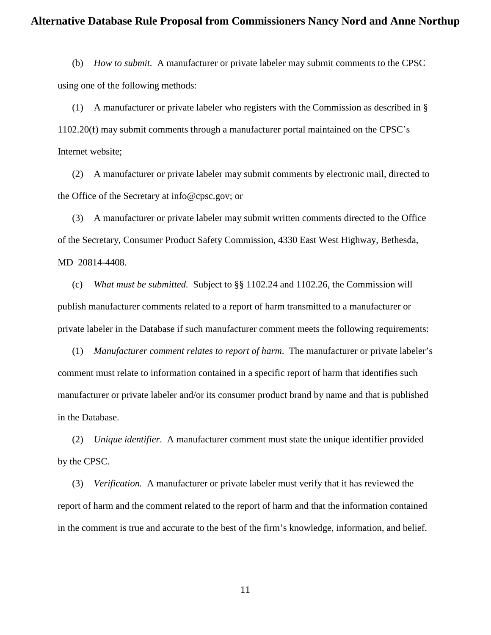(b) *How to submit.* A manufacturer or private labeler may submit comments to the CPSC using one of the following methods:

(1) A manufacturer or private labeler who registers with the Commission as described in § 1102.20(f) may submit comments through a manufacturer portal maintained on the CPSC's Internet website;

(2) A manufacturer or private labeler may submit comments by electronic mail, directed to the Office of the Secretary at info@cpsc.gov; or

(3) A manufacturer or private labeler may submit written comments directed to the Office of the Secretary, Consumer Product Safety Commission, 4330 East West Highway, Bethesda, MD 20814-4408.

(c) *What must be submitted.* Subject to §§ 1102.24 and 1102.26, the Commission will publish manufacturer comments related to a report of harm transmitted to a manufacturer or private labeler in the Database if such manufacturer comment meets the following requirements:

(1) *Manufacturer comment relates to report of harm*. The manufacturer or private labeler's comment must relate to information contained in a specific report of harm that identifies such manufacturer or private labeler and/or its consumer product brand by name and that is published in the Database.

(2) *Unique identifier*. A manufacturer comment must state the unique identifier provided by the CPSC.

(3) *Verification.* A manufacturer or private labeler must verify that it has reviewed the report of harm and the comment related to the report of harm and that the information contained in the comment is true and accurate to the best of the firm's knowledge, information, and belief.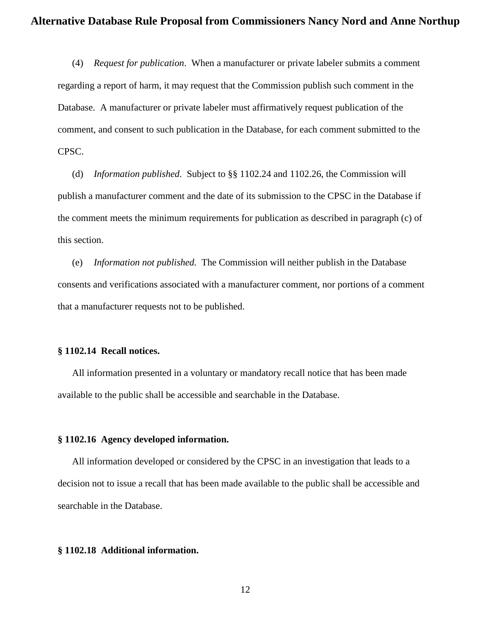(4) *Request for publication*. When a manufacturer or private labeler submits a comment regarding a report of harm, it may request that the Commission publish such comment in the Database. A manufacturer or private labeler must affirmatively request publication of the comment, and consent to such publication in the Database, for each comment submitted to the CPSC.

(d) *Information published*. Subject to §§ 1102.24 and 1102.26, the Commission will publish a manufacturer comment and the date of its submission to the CPSC in the Database if the comment meets the minimum requirements for publication as described in paragraph (c) of this section.

(e) *Information not published.* The Commission will neither publish in the Database consents and verifications associated with a manufacturer comment, nor portions of a comment that a manufacturer requests not to be published.

### **§ 1102.14 Recall notices.**

All information presented in a voluntary or mandatory recall notice that has been made available to the public shall be accessible and searchable in the Database.

### **§ 1102.16 Agency developed information.**

All information developed or considered by the CPSC in an investigation that leads to a decision not to issue a recall that has been made available to the public shall be accessible and searchable in the Database.

### **§ 1102.18 Additional information.**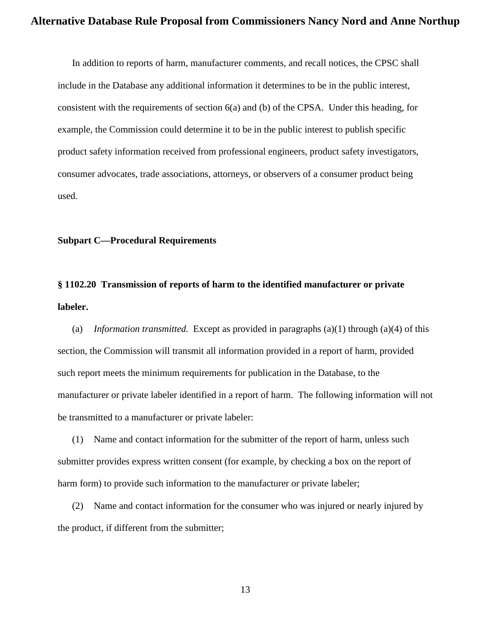In addition to reports of harm, manufacturer comments, and recall notices, the CPSC shall include in the Database any additional information it determines to be in the public interest, consistent with the requirements of section 6(a) and (b) of the CPSA. Under this heading, for example, the Commission could determine it to be in the public interest to publish specific product safety information received from professional engineers, product safety investigators, consumer advocates, trade associations, attorneys, or observers of a consumer product being used.

### **Subpart C—Procedural Requirements**

# **§ 1102.20 Transmission of reports of harm to the identified manufacturer or private labeler.**

(a) *Information transmitted.* Except as provided in paragraphs (a)(1) through (a)(4) of this section, the Commission will transmit all information provided in a report of harm, provided such report meets the minimum requirements for publication in the Database, to the manufacturer or private labeler identified in a report of harm. The following information will not be transmitted to a manufacturer or private labeler:

(1) Name and contact information for the submitter of the report of harm, unless such submitter provides express written consent (for example, by checking a box on the report of harm form) to provide such information to the manufacturer or private labeler;

(2) Name and contact information for the consumer who was injured or nearly injured by the product, if different from the submitter;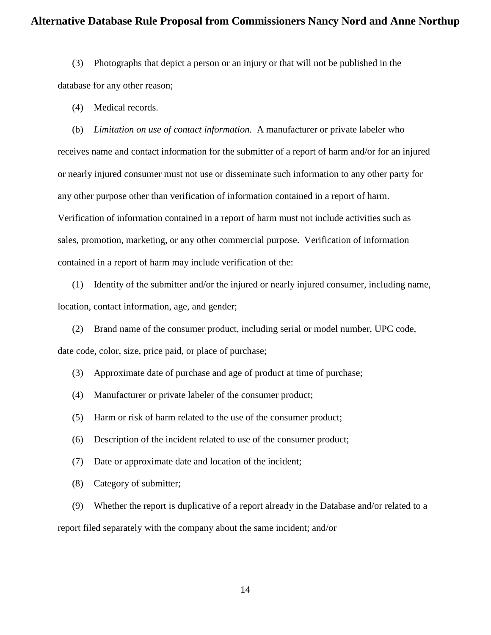(3) Photographs that depict a person or an injury or that will not be published in the database for any other reason;

(4) Medical records.

(b) *Limitation on use of contact information.* A manufacturer or private labeler who receives name and contact information for the submitter of a report of harm and/or for an injured or nearly injured consumer must not use or disseminate such information to any other party for any other purpose other than verification of information contained in a report of harm. Verification of information contained in a report of harm must not include activities such as sales, promotion, marketing, or any other commercial purpose. Verification of information contained in a report of harm may include verification of the:

(1) Identity of the submitter and/or the injured or nearly injured consumer, including name, location, contact information, age, and gender;

(2) Brand name of the consumer product, including serial or model number, UPC code, date code, color, size, price paid, or place of purchase;

(3) Approximate date of purchase and age of product at time of purchase;

- (4) Manufacturer or private labeler of the consumer product;
- (5) Harm or risk of harm related to the use of the consumer product;
- (6) Description of the incident related to use of the consumer product;
- (7) Date or approximate date and location of the incident;
- (8) Category of submitter;

(9) Whether the report is duplicative of a report already in the Database and/or related to a report filed separately with the company about the same incident; and/or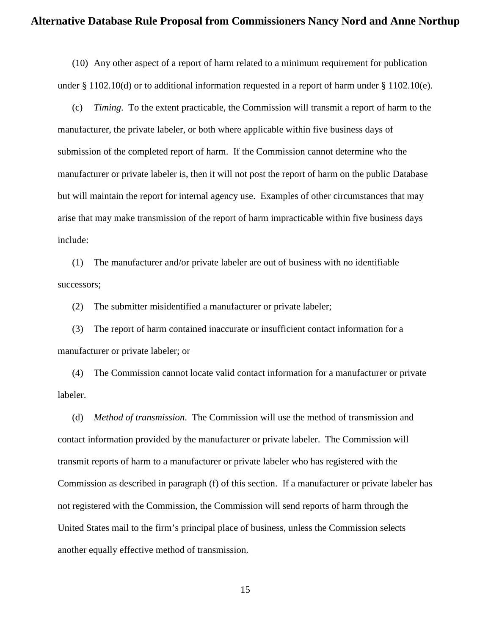(10) Any other aspect of a report of harm related to a minimum requirement for publication under  $\S 1102.10(d)$  or to additional information requested in a report of harm under  $\S 1102.10(e)$ .

(c) *Timing*. To the extent practicable, the Commission will transmit a report of harm to the manufacturer, the private labeler, or both where applicable within five business days of submission of the completed report of harm. If the Commission cannot determine who the manufacturer or private labeler is, then it will not post the report of harm on the public Database but will maintain the report for internal agency use. Examples of other circumstances that may arise that may make transmission of the report of harm impracticable within five business days include:

(1) The manufacturer and/or private labeler are out of business with no identifiable successors;

(2) The submitter misidentified a manufacturer or private labeler;

(3) The report of harm contained inaccurate or insufficient contact information for a manufacturer or private labeler; or

(4) The Commission cannot locate valid contact information for a manufacturer or private labeler.

(d) *Method of transmission*. The Commission will use the method of transmission and contact information provided by the manufacturer or private labeler. The Commission will transmit reports of harm to a manufacturer or private labeler who has registered with the Commission as described in paragraph (f) of this section. If a manufacturer or private labeler has not registered with the Commission, the Commission will send reports of harm through the United States mail to the firm's principal place of business, unless the Commission selects another equally effective method of transmission.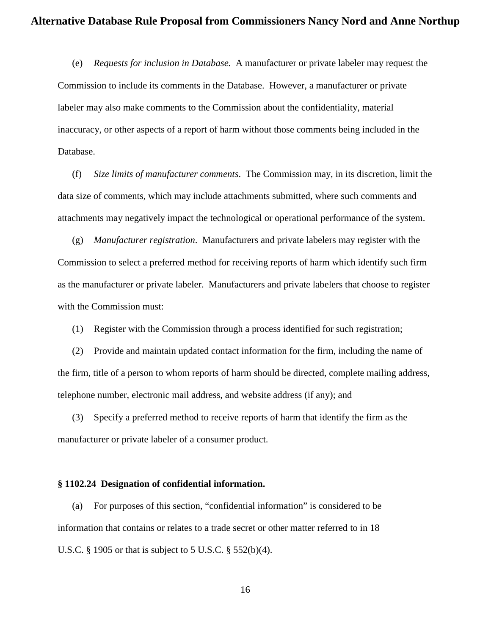(e) *Requests for inclusion in Database.* A manufacturer or private labeler may request the Commission to include its comments in the Database. However, a manufacturer or private labeler may also make comments to the Commission about the confidentiality, material inaccuracy, or other aspects of a report of harm without those comments being included in the Database.

(f) *Size limits of manufacturer comments*. The Commission may, in its discretion, limit the data size of comments, which may include attachments submitted, where such comments and attachments may negatively impact the technological or operational performance of the system.

(g) *Manufacturer registration*. Manufacturers and private labelers may register with the Commission to select a preferred method for receiving reports of harm which identify such firm as the manufacturer or private labeler. Manufacturers and private labelers that choose to register with the Commission must:

(1) Register with the Commission through a process identified for such registration;

(2) Provide and maintain updated contact information for the firm, including the name of the firm, title of a person to whom reports of harm should be directed, complete mailing address, telephone number, electronic mail address, and website address (if any); and

(3) Specify a preferred method to receive reports of harm that identify the firm as the manufacturer or private labeler of a consumer product.

#### **§ 1102.24 Designation of confidential information.**

(a) For purposes of this section, "confidential information" is considered to be information that contains or relates to a trade secret or other matter referred to in 18 U.S.C. § 1905 or that is subject to 5 U.S.C. § 552(b)(4).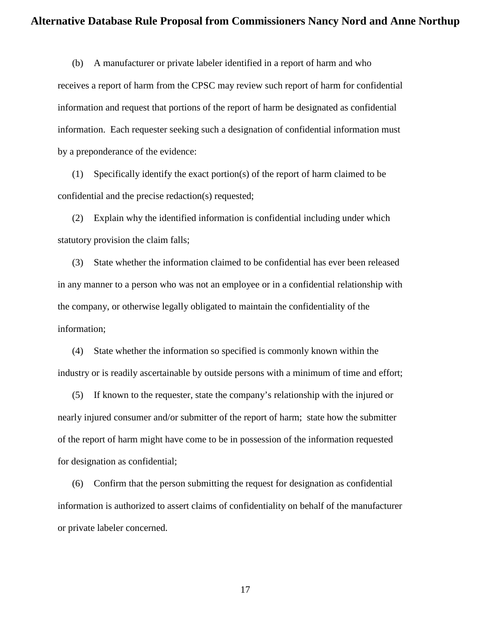(b) A manufacturer or private labeler identified in a report of harm and who receives a report of harm from the CPSC may review such report of harm for confidential information and request that portions of the report of harm be designated as confidential information. Each requester seeking such a designation of confidential information must by a preponderance of the evidence:

(1) Specifically identify the exact portion(s) of the report of harm claimed to be confidential and the precise redaction(s) requested;

(2) Explain why the identified information is confidential including under which statutory provision the claim falls;

(3) State whether the information claimed to be confidential has ever been released in any manner to a person who was not an employee or in a confidential relationship with the company, or otherwise legally obligated to maintain the confidentiality of the information;

(4) State whether the information so specified is commonly known within the industry or is readily ascertainable by outside persons with a minimum of time and effort;

(5) If known to the requester, state the company's relationship with the injured or nearly injured consumer and/or submitter of the report of harm; state how the submitter of the report of harm might have come to be in possession of the information requested for designation as confidential;

(6) Confirm that the person submitting the request for designation as confidential information is authorized to assert claims of confidentiality on behalf of the manufacturer or private labeler concerned.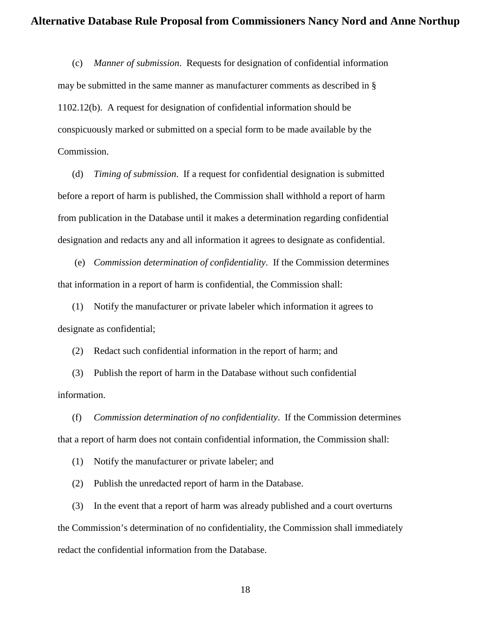(c) *Manner of submission*. Requests for designation of confidential information may be submitted in the same manner as manufacturer comments as described in § 1102.12(b). A request for designation of confidential information should be conspicuously marked or submitted on a special form to be made available by the Commission.

(d) *Timing of submission*. If a request for confidential designation is submitted before a report of harm is published, the Commission shall withhold a report of harm from publication in the Database until it makes a determination regarding confidential designation and redacts any and all information it agrees to designate as confidential.

(e) *Commission determination of confidentiality*. If the Commission determines that information in a report of harm is confidential, the Commission shall:

(1) Notify the manufacturer or private labeler which information it agrees to designate as confidential;

(2) Redact such confidential information in the report of harm; and

(3) Publish the report of harm in the Database without such confidential information.

(f) *Commission determination of no confidentiality*. If the Commission determines that a report of harm does not contain confidential information, the Commission shall:

(1) Notify the manufacturer or private labeler; and

(2) Publish the unredacted report of harm in the Database.

(3) In the event that a report of harm was already published and a court overturns the Commission's determination of no confidentiality, the Commission shall immediately redact the confidential information from the Database.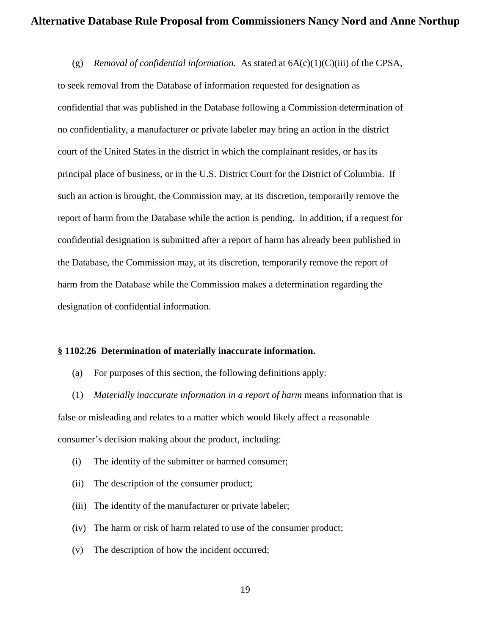(g) *Removal of confidential information.* As stated at 6A(c)(1)(C)(iii) of the CPSA, to seek removal from the Database of information requested for designation as confidential that was published in the Database following a Commission determination of no confidentiality, a manufacturer or private labeler may bring an action in the district court of the United States in the district in which the complainant resides, or has its principal place of business, or in the U.S. District Court for the District of Columbia. If such an action is brought, the Commission may, at its discretion, temporarily remove the report of harm from the Database while the action is pending. In addition, if a request for confidential designation is submitted after a report of harm has already been published in the Database, the Commission may, at its discretion, temporarily remove the report of harm from the Database while the Commission makes a determination regarding the designation of confidential information.

### **§ 1102.26 Determination of materially inaccurate information.**

(a) For purposes of this section, the following definitions apply:

(1) *Materially inaccurate information in a report of harm* means information that is false or misleading and relates to a matter which would likely affect a reasonable consumer's decision making about the product, including:

- (i) The identity of the submitter or harmed consumer;
- (ii) The description of the consumer product;
- (iii) The identity of the manufacturer or private labeler;
- (iv) The harm or risk of harm related to use of the consumer product;
- (v) The description of how the incident occurred;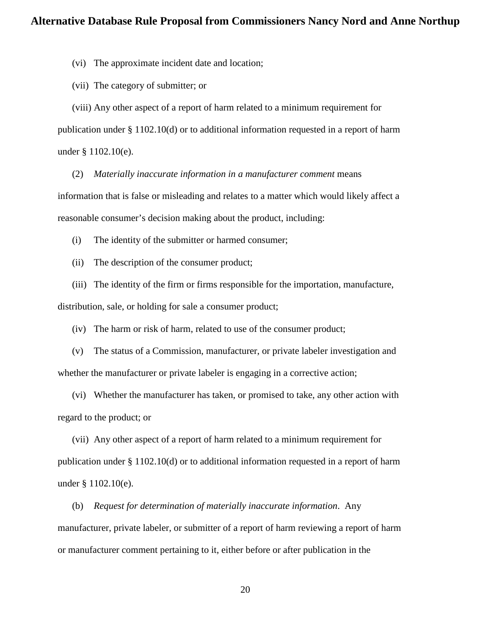(vi) The approximate incident date and location;

(vii) The category of submitter; or

(viii) Any other aspect of a report of harm related to a minimum requirement for publication under § 1102.10(d) or to additional information requested in a report of harm under § 1102.10(e).

(2) *Materially inaccurate information in a manufacturer comment* means information that is false or misleading and relates to a matter which would likely affect a reasonable consumer's decision making about the product, including:

(i) The identity of the submitter or harmed consumer;

(ii) The description of the consumer product;

(iii) The identity of the firm or firms responsible for the importation, manufacture, distribution, sale, or holding for sale a consumer product;

(iv) The harm or risk of harm, related to use of the consumer product;

(v) The status of a Commission, manufacturer, or private labeler investigation and whether the manufacturer or private labeler is engaging in a corrective action;

(vi) Whether the manufacturer has taken, or promised to take, any other action with regard to the product; or

(vii) Any other aspect of a report of harm related to a minimum requirement for publication under § 1102.10(d) or to additional information requested in a report of harm under § 1102.10(e).

(b) *Request for determination of materially inaccurate information*. Any manufacturer, private labeler, or submitter of a report of harm reviewing a report of harm or manufacturer comment pertaining to it, either before or after publication in the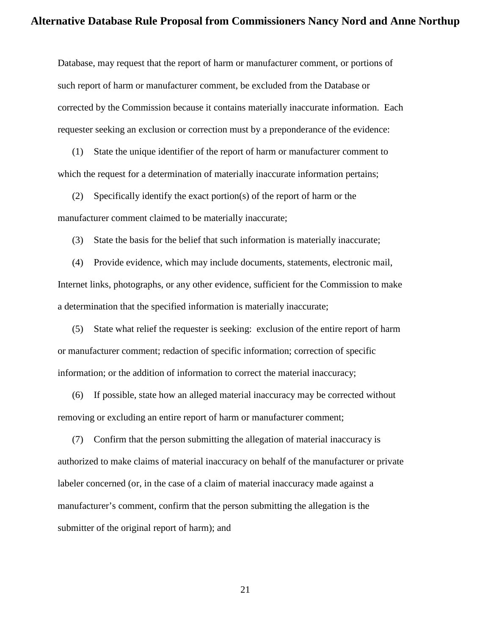Database, may request that the report of harm or manufacturer comment, or portions of such report of harm or manufacturer comment, be excluded from the Database or corrected by the Commission because it contains materially inaccurate information. Each requester seeking an exclusion or correction must by a preponderance of the evidence:

(1) State the unique identifier of the report of harm or manufacturer comment to which the request for a determination of materially inaccurate information pertains;

(2) Specifically identify the exact portion(s) of the report of harm or the manufacturer comment claimed to be materially inaccurate;

(3) State the basis for the belief that such information is materially inaccurate;

(4) Provide evidence, which may include documents, statements, electronic mail, Internet links, photographs, or any other evidence, sufficient for the Commission to make a determination that the specified information is materially inaccurate;

(5) State what relief the requester is seeking: exclusion of the entire report of harm or manufacturer comment; redaction of specific information; correction of specific information; or the addition of information to correct the material inaccuracy;

(6) If possible, state how an alleged material inaccuracy may be corrected without removing or excluding an entire report of harm or manufacturer comment;

(7) Confirm that the person submitting the allegation of material inaccuracy is authorized to make claims of material inaccuracy on behalf of the manufacturer or private labeler concerned (or, in the case of a claim of material inaccuracy made against a manufacturer's comment, confirm that the person submitting the allegation is the submitter of the original report of harm); and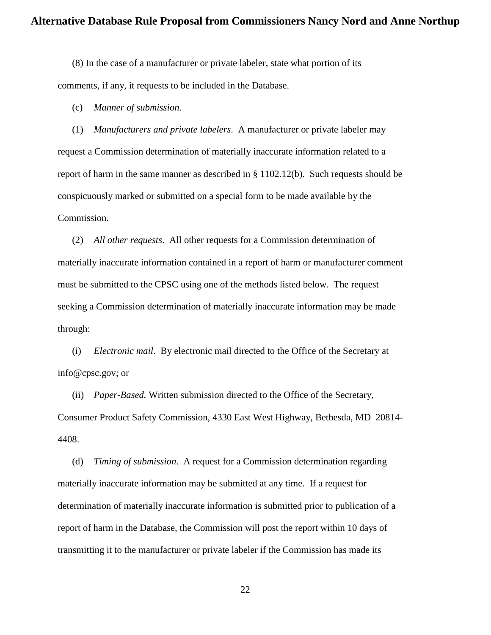(8) In the case of a manufacturer or private labeler, state what portion of its comments, if any, it requests to be included in the Database.

(c) *Manner of submission.*

(1) *Manufacturers and private labelers*. A manufacturer or private labeler may request a Commission determination of materially inaccurate information related to a report of harm in the same manner as described in § 1102.12(b). Such requests should be conspicuously marked or submitted on a special form to be made available by the Commission.

(2) *All other requests*. All other requests for a Commission determination of materially inaccurate information contained in a report of harm or manufacturer comment must be submitted to the CPSC using one of the methods listed below. The request seeking a Commission determination of materially inaccurate information may be made through:

(i) *Electronic mail*. By electronic mail directed to the Office of the Secretary at info@cpsc.gov; or

(ii) *Paper-Based.* Written submission directed to the Office of the Secretary, Consumer Product Safety Commission, 4330 East West Highway, Bethesda, MD 20814- 4408.

(d) *Timing of submission*. A request for a Commission determination regarding materially inaccurate information may be submitted at any time. If a request for determination of materially inaccurate information is submitted prior to publication of a report of harm in the Database, the Commission will post the report within 10 days of transmitting it to the manufacturer or private labeler if the Commission has made its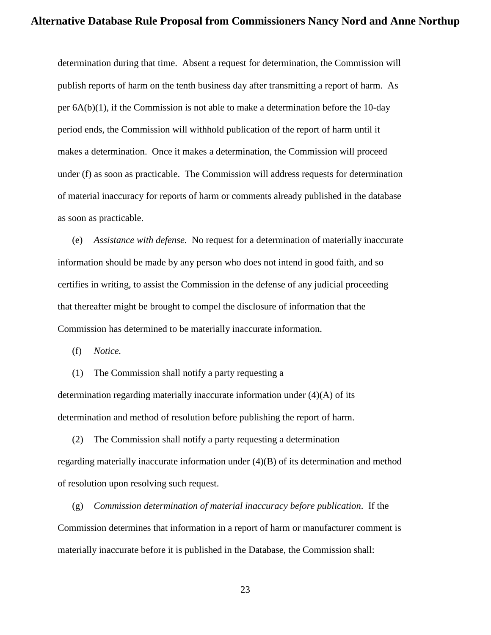determination during that time. Absent a request for determination, the Commission will publish reports of harm on the tenth business day after transmitting a report of harm. As per 6A(b)(1), if the Commission is not able to make a determination before the 10-day period ends, the Commission will withhold publication of the report of harm until it makes a determination. Once it makes a determination, the Commission will proceed under (f) as soon as practicable. The Commission will address requests for determination of material inaccuracy for reports of harm or comments already published in the database as soon as practicable.

(e) *Assistance with defense.* No request for a determination of materially inaccurate information should be made by any person who does not intend in good faith, and so certifies in writing, to assist the Commission in the defense of any judicial proceeding that thereafter might be brought to compel the disclosure of information that the Commission has determined to be materially inaccurate information.

(f) *Notice.* 

(1) The Commission shall notify a party requesting a determination regarding materially inaccurate information under (4)(A) of its determination and method of resolution before publishing the report of harm.

(2) The Commission shall notify a party requesting a determination regarding materially inaccurate information under (4)(B) of its determination and method of resolution upon resolving such request.

(g) *Commission determination of material inaccuracy before publication*. If the Commission determines that information in a report of harm or manufacturer comment is materially inaccurate before it is published in the Database, the Commission shall: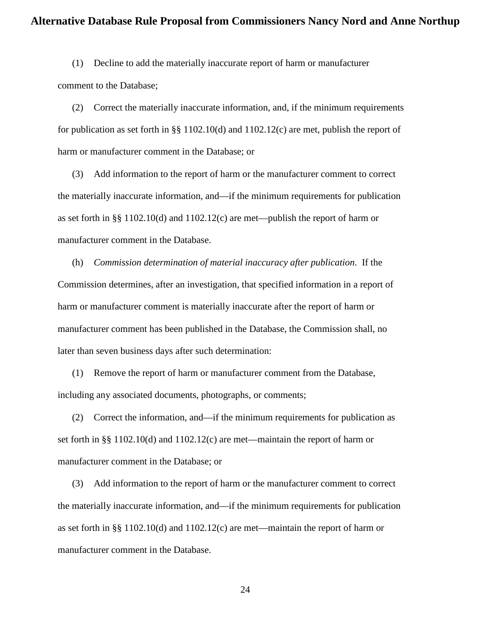(1) Decline to add the materially inaccurate report of harm or manufacturer comment to the Database;

(2) Correct the materially inaccurate information, and, if the minimum requirements for publication as set forth in §§ 1102.10(d) and 1102.12(c) are met, publish the report of harm or manufacturer comment in the Database; or

(3) Add information to the report of harm or the manufacturer comment to correct the materially inaccurate information, and—if the minimum requirements for publication as set forth in §§ 1102.10(d) and 1102.12(c) are met—publish the report of harm or manufacturer comment in the Database.

(h) *Commission determination of material inaccuracy after publication*. If the Commission determines, after an investigation, that specified information in a report of harm or manufacturer comment is materially inaccurate after the report of harm or manufacturer comment has been published in the Database, the Commission shall, no later than seven business days after such determination:

(1) Remove the report of harm or manufacturer comment from the Database, including any associated documents, photographs, or comments;

(2) Correct the information, and—if the minimum requirements for publication as set forth in §§ 1102.10(d) and 1102.12(c) are met—maintain the report of harm or manufacturer comment in the Database; or

(3) Add information to the report of harm or the manufacturer comment to correct the materially inaccurate information, and—if the minimum requirements for publication as set forth in §§ 1102.10(d) and 1102.12(c) are met—maintain the report of harm or manufacturer comment in the Database.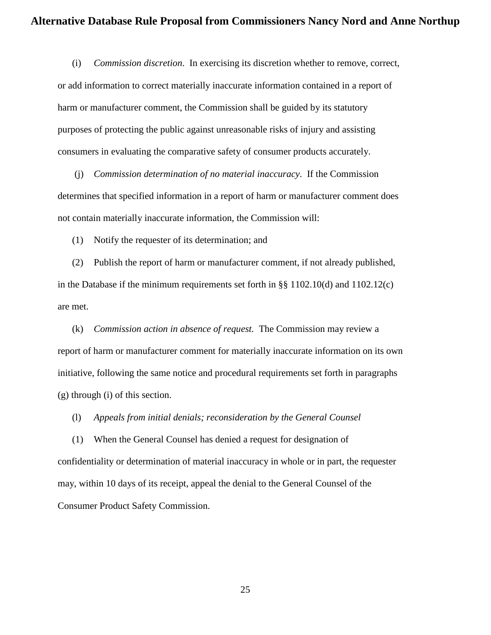(i) *Commission discretion*. In exercising its discretion whether to remove, correct, or add information to correct materially inaccurate information contained in a report of harm or manufacturer comment, the Commission shall be guided by its statutory purposes of protecting the public against unreasonable risks of injury and assisting consumers in evaluating the comparative safety of consumer products accurately.

(j) *Commission determination of no material inaccuracy*. If the Commission determines that specified information in a report of harm or manufacturer comment does not contain materially inaccurate information, the Commission will:

(1) Notify the requester of its determination; and

(2) Publish the report of harm or manufacturer comment, if not already published, in the Database if the minimum requirements set forth in §§ 1102.10(d) and 1102.12(c) are met.

(k) *Commission action in absence of request.* The Commission may review a report of harm or manufacturer comment for materially inaccurate information on its own initiative, following the same notice and procedural requirements set forth in paragraphs (g) through (i) of this section.

(l) *Appeals from initial denials; reconsideration by the General Counsel*

(1) When the General Counsel has denied a request for designation of confidentiality or determination of material inaccuracy in whole or in part, the requester may, within 10 days of its receipt, appeal the denial to the General Counsel of the Consumer Product Safety Commission.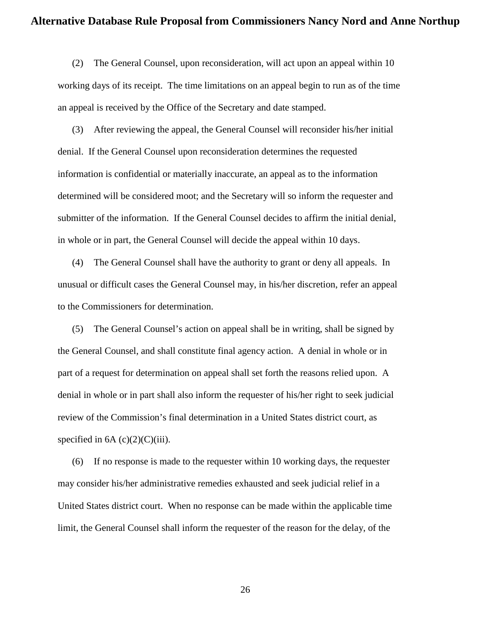(2) The General Counsel, upon reconsideration, will act upon an appeal within 10 working days of its receipt. The time limitations on an appeal begin to run as of the time an appeal is received by the Office of the Secretary and date stamped.

(3) After reviewing the appeal, the General Counsel will reconsider his/her initial denial. If the General Counsel upon reconsideration determines the requested information is confidential or materially inaccurate, an appeal as to the information determined will be considered moot; and the Secretary will so inform the requester and submitter of the information. If the General Counsel decides to affirm the initial denial, in whole or in part, the General Counsel will decide the appeal within 10 days.

(4) The General Counsel shall have the authority to grant or deny all appeals. In unusual or difficult cases the General Counsel may, in his/her discretion, refer an appeal to the Commissioners for determination.

(5) The General Counsel's action on appeal shall be in writing, shall be signed by the General Counsel, and shall constitute final agency action. A denial in whole or in part of a request for determination on appeal shall set forth the reasons relied upon. A denial in whole or in part shall also inform the requester of his/her right to seek judicial review of the Commission's final determination in a United States district court, as specified in  $6A(c)(2)(C)(iii)$ .

(6) If no response is made to the requester within 10 working days, the requester may consider his/her administrative remedies exhausted and seek judicial relief in a United States district court. When no response can be made within the applicable time limit, the General Counsel shall inform the requester of the reason for the delay, of the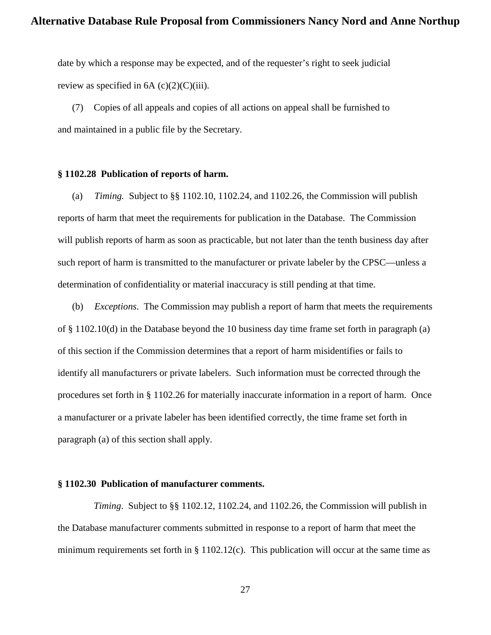date by which a response may be expected, and of the requester's right to seek judicial review as specified in  $6A$  (c)(2)(C)(iii).

(7) Copies of all appeals and copies of all actions on appeal shall be furnished to and maintained in a public file by the Secretary.

### **§ 1102.28 Publication of reports of harm.**

(a) *Timing.* Subject to §§ 1102.10, 1102.24, and 1102.26, the Commission will publish reports of harm that meet the requirements for publication in the Database. The Commission will publish reports of harm as soon as practicable, but not later than the tenth business day after such report of harm is transmitted to the manufacturer or private labeler by the CPSC—unless a determination of confidentiality or material inaccuracy is still pending at that time.

(b) *Exceptions*. The Commission may publish a report of harm that meets the requirements of  $\S 1102.10(d)$  in the Database beyond the 10 business day time frame set forth in paragraph (a) of this section if the Commission determines that a report of harm misidentifies or fails to identify all manufacturers or private labelers. Such information must be corrected through the procedures set forth in § 1102.26 for materially inaccurate information in a report of harm. Once a manufacturer or a private labeler has been identified correctly, the time frame set forth in paragraph (a) of this section shall apply.

### **§ 1102.30 Publication of manufacturer comments.**

*Timing*. Subject to §§ 1102.12, 1102.24, and 1102.26, the Commission will publish in the Database manufacturer comments submitted in response to a report of harm that meet the minimum requirements set forth in § 1102.12(c). This publication will occur at the same time as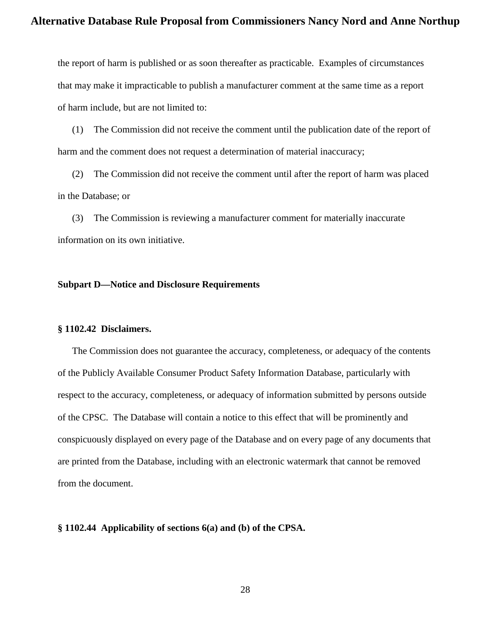the report of harm is published or as soon thereafter as practicable. Examples of circumstances that may make it impracticable to publish a manufacturer comment at the same time as a report of harm include, but are not limited to:

(1) The Commission did not receive the comment until the publication date of the report of harm and the comment does not request a determination of material inaccuracy;

(2) The Commission did not receive the comment until after the report of harm was placed in the Database; or

(3) The Commission is reviewing a manufacturer comment for materially inaccurate information on its own initiative.

### **Subpart D—Notice and Disclosure Requirements**

### **§ 1102.42 Disclaimers.**

The Commission does not guarantee the accuracy, completeness, or adequacy of the contents of the Publicly Available Consumer Product Safety Information Database, particularly with respect to the accuracy, completeness, or adequacy of information submitted by persons outside of the CPSC. The Database will contain a notice to this effect that will be prominently and conspicuously displayed on every page of the Database and on every page of any documents that are printed from the Database, including with an electronic watermark that cannot be removed from the document.

### **§ 1102.44 Applicability of sections 6(a) and (b) of the CPSA.**